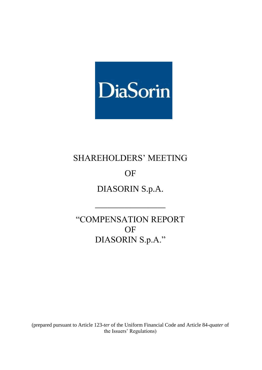

# SHAREHOLDERS' MEETING

# OF

DIASORIN S.p.A.

\_\_\_\_\_\_\_\_\_\_\_\_\_\_\_\_

"COMPENSATION REPORT OF DIASORIN S.p.A."

(prepared pursuant to Article 123-*ter* of the Uniform Financial Code and Article 84-*quater* of the Issuers' Regulations)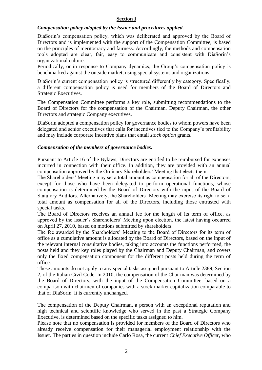#### **Section I**

#### *Compensation policy adopted by the Issuer and procedures applied.*

DiaSorin's compensation policy, which was deliberated and approved by the Board of Directors and is implemented with the support of the Compensation Committee, is based on the principles of meritocracy and fairness. Accordingly, the methods and compensation tools adopted are clear, fair, easy to communicate and consistent with DiaSorin's organizational culture.

Periodically, or in response to Company dynamics, the Group's compensation policy is benchmarked against the outside market, using special systems and organizations.

DiaSorin's current compensation policy is structured differently by category. Specifically, a different compensation policy is used for members of the Board of Directors and Strategic Executives.

The Compensation Committee performs a key role, submitting recommendations to the Board of Directors for the compensation of the Chairman, Deputy Chairman, the other Directors and strategic Company executives.

DiaSorin adopted a compensation policy for governance bodies to whom powers have been delegated and senior executives that calls for incentives tied to the Company's profitability and may include corporate incentive plans that entail *stock option* grants.

#### *Compensation of the members of governance bodies.*

Pursuant to Article 16 of the Bylaws, Directors are entitled to be reimbursed for expenses incurred in connection with their office. In addition, they are provided with an annual compensation approved by the Ordinary Shareholders' Meeting that elects them.

The Shareholders' Meeting may set a total amount as compensation for all of the Directors, except for those who have been delegated to perform operational functions, whose compensation is determined by the Board of Directors with the input of the Board of Statutory Auditors. Alternatively, the Shareholders' Meeting may exercise its right to set a total amount as compensation for all of the Directors, including those entrusted with special tasks.

The Board of Directors receives an annual fee for the length of its term of office, as approved by the Issuer's Shareholders' Meeting upon election, the latest having occurred on April 27, 2010, based on motions submitted by shareholders.

The fee awarded by the Shareholders' Meeting to the Board of Directors for its term of office as a cumulative amount is allocated by the Board of Directors, based on the input of the relevant internal consultative bodies, taking into accounts the functions performed, the posts held and they key roles played by the Chairman and Deputy Chairman, and covers only the fixed compensation component for the different posts held during the term of office.

These amounts do not apply to any special tasks assigned pursuant to Article 2389, Section 2, of the Italian Civil Code. In 2010, the compensation of the Chairman was determined by the Board of Directors, with the input of the Compensation Committee, based on a comparison with chairmen of companies with a stock market capitalization comparable to that of DiaSorin. It is currently unchanged.

The compensation of the Deputy Chairman, a person with an exceptional reputation and high technical and scientific knowledge who served in the past a Strategic Company Executive, is determined based on the specific tasks assigned to him.

Please note that no compensation is provided for members of the Board of Directors who already receive compensation for their managerial employment relationship with the Issuer. The parties in question include Carlo Rosa, the current *Chief Executive Officer*, who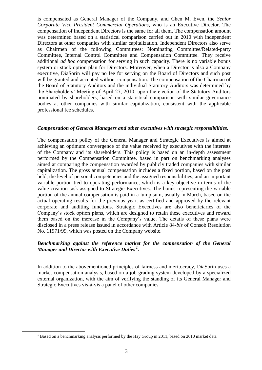is compensated as General Manager of the Company, and Chen M. Even, the *Senior Corporate Vice President Commercial Operations*, who is an Executive Director. The compensation of independent Directors is the same for all them. The compensation amount was determined based on a statistical comparison carried out in 2010 with independent Directors at other companies with similar capitalization. Independent Directors also serve as Chairmen of the following Committees: Nominating Committee/Related-party Committee, Internal Control Committee and Compensation Committee. They receive additional *ad hoc* compensation for serving in such capacity. There is no variable bonus system or stock option plan for Directors. Moreover, when a Director is also a Company executive, DiaSorin will pay no fee for serving on the Board of Directors and such post will be granted and accepted without compensation. The compensation of the Chairman of the Board of Statutory Auditors and the individual Statutory Auditors was determined by the Shareholders' Meeting of April 27, 2010, upon the election of the Statutory Auditors nominated by shareholders, based on a statistical comparison with similar governance bodies at other companies with similar capitalization, consistent with the applicable professional fee schedules.

#### *Compensation of General Managers and other executives with strategic responsibilities.*

The compensation policy of the General Manager and Strategic Executives is aimed at achieving an optimum convergence of the value received by executives with the interests of the Company and its shareholders. This policy is based on an in-depth assessment performed by the Compensation Committee, based in part on benchmarking analyses aimed at comparing the compensation awarded by publicly traded companies with similar capitalization. The gross annual compensation includes a fixed portion, based on the post held, the level of personal competencies and the assigned responsibilities, and an important variable portion tied to operating performance, which is a key objective in terms of the value creation task assigned to Strategic Executives. The bonus representing the variable portion of the annual compensation is paid in a lump sum, usually in March, based on the actual operating results for the previous year, as certified and approved by the relevant corporate and auditing functions. Strategic Executives are also beneficiaries of the Company's stock option plans, which are designed to retain these executives and reward them based on the increase in the Company's value. The details of these plans were disclosed in a press release issued in accordance with Article 84-*bis* of Consob Resolution No. 11971/99, which was posted on the Company website.

#### *Benchmarking against the reference market for the compensation of the General Manager and Director with Executive Duties <sup>1</sup> .*

In addition to the abovementioned principles of fairness and meritocracy, DiaSorin uses a market compensation analysis, based on a job grading system developed by a specialized external organization, with the aim of verifying the standing of its General Manager and Strategic Executives vis-à-vis a panel of other companies

 $\overline{a}$ 

<sup>&</sup>lt;sup>1</sup> Based on a benchmarking analysis performed by the Hay Group in 2011, based on 2010 market data.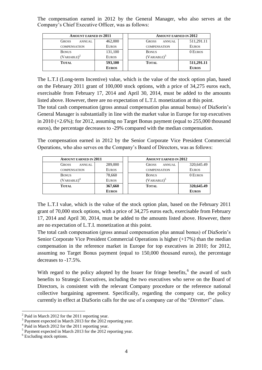The compensation earned in 2012 by the General Manager, who also serves at the Company's Chief Executive Officer, was as follows:

| <b>AMOUNT EARNED IN 2011</b>  |              |  | <b>AMOUNT EARNED IN 2012</b>  |              |  |
|-------------------------------|--------------|--|-------------------------------|--------------|--|
| <b>GROSS</b><br><b>ANNUAL</b> | 462,000      |  | <b>GROSS</b><br><b>ANNUAL</b> | 511,291.11   |  |
| <b>COMPENSATION</b>           | <b>EUROS</b> |  | <b>COMPENSATION</b>           | <b>EUROS</b> |  |
| <b>BONUS</b>                  | 131,100      |  | <b>BONUS</b>                  | 0 EUROS      |  |
| $(VARIABLE)^2$                | <b>EUROS</b> |  | $(VARIABLE)^3$                |              |  |
| <b>TOTAL</b>                  | 593,100      |  | <b>TOTAL</b>                  | 511,291.11   |  |
|                               | <b>EUROS</b> |  |                               | <b>EUROS</b> |  |

The L.T.I (Long-term Incentive) value, which is the value of the stock option plan, based on the February 2011 grant of 100,000 stock options, with a price of 34,275 euros each, exercisable from February 17, 2014 and April 30, 2014, must be added to the amounts listed above. However, there are no expectation of L.T.I*.* monetization at this point.

The total cash compensation (gross annual compensation plus annual bonus) of DiaSorin's General Manager is substantially in line with the market value in Europe for top executives in 2010 (+2.6%); for 2012, assuming no Target Bonus payment (equal to 255,000 thousand euros), the percentage decreases to -29% compared with the median compensation.

The compensation earned in 2012 by the Senior Corporate Vice President Commercial Operations, who also serves on the Company's Board of Directors, was as follows:

| <b>AMOUNT EARNED IN 2011</b> |              |  | <b>AMOUNT EARNED IN 2012</b> |              |
|------------------------------|--------------|--|------------------------------|--------------|
| <b>GROSS</b><br>ANNUAL       | 289,000      |  | <b>GROSS</b><br>ANNUAL       | 320,645.49   |
| <b>COMPENSATION</b>          | <b>EUROS</b> |  | <b>COMPENSATION</b>          | <b>EUROS</b> |
| <b>BONUS</b>                 | 78,660       |  | <b>BONUS</b>                 | 0 EUROS      |
| $(VARIABLE)^4$               | <b>EUROS</b> |  | $(VARIABLE)^5$               |              |
| <b>TOTAL</b>                 | 367,660      |  | <b>TOTAL</b>                 | 320,645.49   |
| <b>EUROS</b>                 |              |  |                              | <b>EUROS</b> |

The L.T.I value, which is the value of the stock option plan, based on the February 2011 grant of 70,000 stock options, with a price of 34,275 euros each, exercisable from February 17, 2014 and April 30, 2014, must be added to the amounts listed above. However, there are no expectation of L.T.I. monetization at this point*.*

The total cash compensation (gross annual compensation plus annual bonus) of DiaSorin's Senior Corporate Vice President Commercial Operations is higher (+17%) than the median compensation in the reference market in Europe for top executives in 2010; for 2012, assuming no Target Bonus payment (equal to 150,000 thousand euros), the percentage decreases to -17.5%.

With regard to the policy adopted by the Issuer for fringe benefits,  $6$  the award of such benefits to Strategic Executives, including the two executives who serve on the Board of Directors, is consistent with the relevant Company procedure or the reference national collective bargaining agreement. Specifically, regarding the company car, the policy currently in effect at DiaSorin calls for the use of a company car of the "*Direttori*" class.

  $2$  Paid in March 2012 for the 2011 reporting year.

<sup>&</sup>lt;sup>3</sup> Payment expected in March 2013 for the 2012 reporting year.

<sup>&</sup>lt;sup>4</sup> Paid in March 2012 for the 2011 reporting year.

<sup>&</sup>lt;sup>5</sup> Payment expected in March 2013 for the 2012 reporting year.

 $6$  Excluding stock options.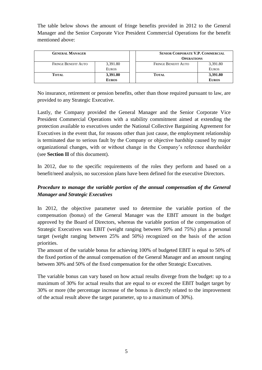The table below shows the amount of fringe benefits provided in 2012 to the General Manager and the Senior Corporate Vice President Commercial Operations for the benefit mentioned above:

| <b>GENERAL MANAGER</b>     |              | SENIOR CORPORATE V.P. COMMERCIAL<br><b>OPERATIONS</b> |              |
|----------------------------|--------------|-------------------------------------------------------|--------------|
| <b>FRINGE BENEFIT AUTO</b> | 3,391.80     | <b>FRINGE BENEFIT AUTO</b>                            | 3,391.80     |
|                            | <b>EUROS</b> |                                                       | <b>EUROS</b> |
| <b>TOTAL</b>               | 3,391.80     | <b>TOTAL</b>                                          | 3,391.80     |
|                            | <b>EUROS</b> |                                                       | <b>EUROS</b> |

No insurance, retirement or pension benefits, other than those required pursuant to law, are provided to any Strategic Executive.

Lastly, the Company provided the General Manager and the Senior Corporate Vice President Commercial Operations with a stability commitment aimed at extending the protection available to executives under the National Collective Bargaining Agreement for Executives in the event that, for reasons other than just cause, the employment relationship is terminated due to serious fault by the Company or objective hardship caused by major organizational changes, with or without change in the Company's reference shareholder (see **Section II** of this document).

In 2012, due to the specific requirements of the roles they perform and based on a benefit/need analysis, no succession plans have been defined for the executive Directors.

# *Procedure to manage the variable portion of the annual compensation of the General Manager and Strategic Executives*

In 2012, the objective parameter used to determine the variable portion of the compensation (bonus) of the General Manager was the EBIT amount in the budget approved by the Board of Directors, whereas the variable portion of the compensation of Strategic Executives was EBIT (weight ranging between 50% and 75%) plus a personal target (weight ranging between 25% and 50%) recognized on the basis of the action priorities.

The amount of the variable bonus for achieving 100% of budgeted EBIT is equal to 50% of the fixed portion of the annual compensation of the General Manager and an amount ranging between 30% and 50% of the fixed compensation for the other Strategic Executives.

The variable bonus can vary based on how actual results diverge from the budget: up to a maximum of 30% for actual results that are equal to or exceed the EBIT budget target by 30% or more (the percentage increase of the bonus is directly related to the improvement of the actual result above the target parameter, up to a maximum of 30%).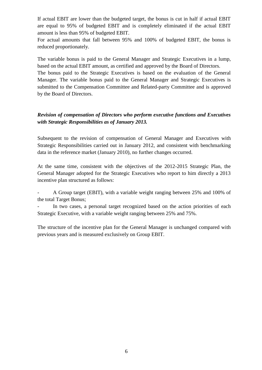If actual EBIT are lower than the budgeted target, the bonus is cut in half if actual EBIT are equal to 95% of budgeted EBIT and is completely eliminated if the actual EBIT amount is less than 95% of budgeted EBIT.

For actual amounts that fall between 95% and 100% of budgeted EBIT, the bonus is reduced proportionately.

The variable bonus is paid to the General Manager and Strategic Executives in a lump, based on the actual EBIT amount, as certified and approved by the Board of Directors.

The bonus paid to the Strategic Executives is based on the evaluation of the General Manager. The variable bonus paid to the General Manager and Strategic Executives is submitted to the Compensation Committee and Related-party Committee and is approved by the Board of Directors.

# *Revision of compensation of Directors who perform executive functions and Executives with Strategic Responsibilities as of January 2013.*

Subsequent to the revision of compensation of General Manager and Executives with Strategic Responsibilities carried out in January 2012, and consistent with benchmarking data in the reference market (January 2010), no further changes occurred.

At the same time, consistent with the objectives of the 2012-2015 Strategic Plan, the General Manager adopted for the Strategic Executives who report to him directly a 2013 incentive plan structured as follows:

- A Group target (EBIT), with a variable weight ranging between 25% and 100% of the total Target Bonus;

In two cases, a personal target recognized based on the action priorities of each Strategic Executive, with a variable weight ranging between 25% and 75%.

The structure of the incentive plan for the General Manager is unchanged compared with previous years and is measured exclusively on Group EBIT.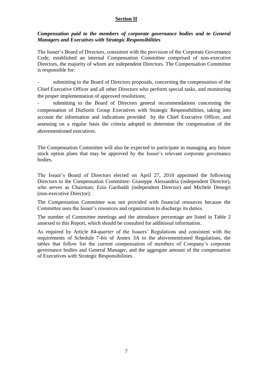### **Section II**

### *Compensation paid to the members of corporate governance bodies and to General Managers and Executives with Strategic Responsibilities*

The Issuer's Board of Directors, consistent with the provision of the Corporate Governance Code, established an internal Compensation Committee comprised of non-executive Directors, the majority of whom are independent Directors. The Compensation Committee is responsible for:

submitting to the Board of Directors proposals, concerning the compensation of the Chief Executive Officer and all other Directors who perform special tasks, and monitoring the proper implementation of approved resolutions;

submitting to the Board of Directors general recommendations concerning the compensation of DiaSorin Group Executives with Strategic Responsibilities, taking into account the information and indications provided by the Chief Executive Officer, and assessing on a regular basis the criteria adopted to determine the compensation of the abovementioned executives.

The Compensation Committee will also be expected to participate in managing any future stock option plans that may be approved by the Issuer's relevant corporate governance bodies.

The Issuer's Board of Directors elected on April 27, 2010 appointed the following Directors to the Compensation Committee: Giuseppe Alessandria (independent Director), who serves as Chairman; Ezio Garibaldi (independent Director) and Michele Denegri (non-executive Director).

The Compensation Committee was not provided with financial resources because the Committee uses the Issuer's resources and organization to discharge its duties.

The number of Committee meetings and the attendance percentage are listed in Table 2 annexed to this Report, which should be consulted for additional information.

As required by Article 84-*quarter* of the Issuers' Regulations and consistent with the requirements of Schedule 7-*bis* of Annex 3A to the abovementioned Regulations, the tables that follow list the current compensation of members of Company's corporate governance bodies and General Manager, and the aggregate amount of the compensation of Executives with Strategic Responsibilities.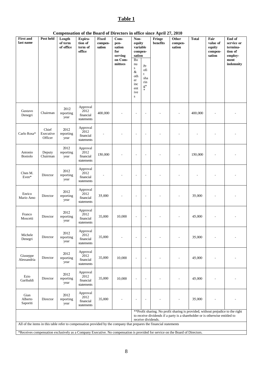# **Table 1**

| Compensation of the Board of Directors in office since April 27, 2010 |
|-----------------------------------------------------------------------|
|-----------------------------------------------------------------------|

| <b>First and</b><br>last name                                                                                       | Post held                     | Length<br>of term<br>of office | Expira-<br>tion of<br>term of<br>office     | Fixed<br>compen-<br>sation | $Com-$<br>pen-<br>sation<br>for<br>serving<br>on Com-<br>mittees | Non-<br>equity<br>variable<br>compen-<br>sation<br>Bo<br>nu<br>${\bf S}$<br>$\&$<br>oth<br>er<br>inc<br>ent<br>ive<br>${\bf S}$ | $\Pr$<br>ofi<br>t<br>sha<br>rin<br>$\mathbf{g}^*$<br>$\ast$ | Compensation of the Doard of Directors in office since April 27, 2010<br>Fringe<br>benefits                                                                                            | Other<br>compen-<br>sation | <b>Total</b> | Fair<br>value of<br>equity<br>compen-<br>sation | End of<br>service or<br>termina-<br>tion of<br>employ-<br>ment<br>indemnity |
|---------------------------------------------------------------------------------------------------------------------|-------------------------------|--------------------------------|---------------------------------------------|----------------------------|------------------------------------------------------------------|---------------------------------------------------------------------------------------------------------------------------------|-------------------------------------------------------------|----------------------------------------------------------------------------------------------------------------------------------------------------------------------------------------|----------------------------|--------------|-------------------------------------------------|-----------------------------------------------------------------------------|
| Gustavo<br>Denegri                                                                                                  | Chairman                      | 2012<br>reporting<br>year      | Approval<br>2012<br>financial<br>statements | 400,000                    |                                                                  |                                                                                                                                 | $\overline{\phantom{a}}$                                    |                                                                                                                                                                                        |                            | 400,000      |                                                 |                                                                             |
| Carlo Rosa*                                                                                                         | Chief<br>Executive<br>Officer | 2012<br>reporting<br>year      | Approval<br>2012<br>financial<br>statements |                            |                                                                  | $\overline{\phantom{a}}$                                                                                                        | $\overline{a}$                                              |                                                                                                                                                                                        |                            |              |                                                 |                                                                             |
| Antonio<br>Boniolo                                                                                                  | Deputy<br>Chairman            | 2012<br>reporting<br>year      | Approval<br>2012<br>financial<br>statements | 150,000                    |                                                                  | $\overline{a}$                                                                                                                  | $\overline{a}$                                              |                                                                                                                                                                                        |                            | 150,000      |                                                 |                                                                             |
| Chen M.<br>Even*                                                                                                    | Director                      | 2012<br>reporting<br>year      | Approval<br>2012<br>financial<br>statements |                            |                                                                  | $\overline{a}$                                                                                                                  | $\overline{a}$                                              |                                                                                                                                                                                        |                            |              |                                                 |                                                                             |
| Enrico<br>Mario Amo                                                                                                 | Director                      | 2012<br>reporting<br>year      | Approval<br>2012<br>financial<br>statements | 35,000                     |                                                                  | ÷,                                                                                                                              | ÷,                                                          |                                                                                                                                                                                        |                            | 35,000       |                                                 |                                                                             |
| Franco<br>Moscetti                                                                                                  | Director                      | 2012<br>reporting<br>year      | Approval<br>2012<br>financial<br>statements | 35,000                     | 10,000                                                           | $\overline{\phantom{a}}$                                                                                                        | $\overline{\phantom{a}}$                                    |                                                                                                                                                                                        |                            | 45,000       |                                                 |                                                                             |
| Michele<br>Denegri                                                                                                  | Director                      | 2012<br>reporting<br>year      | Approval<br>2012<br>financial<br>statements | 35,000                     |                                                                  | ٠                                                                                                                               | $\overline{\phantom{m}}$                                    |                                                                                                                                                                                        |                            | 35,000       |                                                 |                                                                             |
| Giuseppe<br>Alessandria                                                                                             | Director                      | 2012<br>reporting<br>year      | Approval<br>2012<br>financial<br>statements | 35,000                     | 10,000                                                           | ÷,                                                                                                                              | ÷,                                                          |                                                                                                                                                                                        |                            | 45,000       |                                                 |                                                                             |
| Ezio<br>Garibaldi                                                                                                   | Director                      | 2012<br>reporting<br>year      | Approval<br>2012<br>financial<br>statements | 35,000                     | 10,000                                                           | $\sim$                                                                                                                          | $\overline{\phantom{a}}$                                    |                                                                                                                                                                                        |                            | 45,000       |                                                 |                                                                             |
| Gian<br>Alberto<br>Saporiti                                                                                         | Director                      | 2012<br>reporting<br>year      | Approval<br>2012<br>financial<br>statements | 35,000                     |                                                                  | ÷,                                                                                                                              | $\overline{a}$                                              |                                                                                                                                                                                        |                            | 35,000       |                                                 |                                                                             |
| All of the items in this table refer to compensation provided by the company that prepares the financial statements |                               |                                |                                             |                            |                                                                  |                                                                                                                                 |                                                             | ** Profit sharing. No profit sharing is provided, without prejudice to the right<br>to receive dividends if a party is a shareholder or is otherwise entitled to<br>receive dividends. |                            |              |                                                 |                                                                             |

\*Receives compensation exclusively as a Company Executive. No compensation is provided for service on the Board of Directors.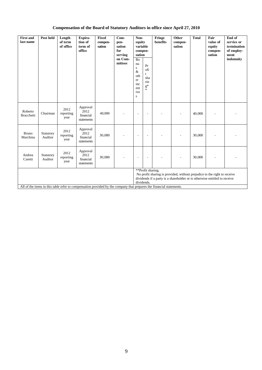# **Compensation of the Board of Statutory Auditors in office since April 27, 2010**

| <b>First and</b><br>last name | Post held            | Length<br>of term<br>of office | Expira-<br>tion of<br>term of<br>office     | Fixed<br>compen-<br>sation | Com-<br>pen-<br>sation<br>for<br>serving<br>on Com-<br>mittees                                                                                        | Non-<br>equity<br>variable<br>compen-<br>sation<br>Bo<br>nu<br>${\bf S}$<br>$\&$<br>oth<br>er<br>inc<br>ent<br>ive<br>s | Pr<br>ofi<br>t.<br>sha<br>rin<br>$g^*$ | Fringe<br>benefits | Other<br>compen-<br>sation | <b>Total</b> | Fair<br>value of<br>equity<br>compen-<br>sation | End of<br>service or<br>termination<br>of employ-<br>ment<br>indemnity |
|-------------------------------|----------------------|--------------------------------|---------------------------------------------|----------------------------|-------------------------------------------------------------------------------------------------------------------------------------------------------|-------------------------------------------------------------------------------------------------------------------------|----------------------------------------|--------------------|----------------------------|--------------|-------------------------------------------------|------------------------------------------------------------------------|
| Roberto<br><b>Bracchetti</b>  | Chairman             | 2012<br>reporting<br>year      | Approval<br>2012<br>financial<br>statements | 40,000                     |                                                                                                                                                       | ٠                                                                                                                       |                                        |                    |                            | 40,000       |                                                 |                                                                        |
| <b>Bruno</b><br>Marchina      | Statutory<br>Auditor | 2012<br>reporting<br>year      | Approval<br>2012<br>financial<br>statements | 30,000                     |                                                                                                                                                       | ÷,                                                                                                                      |                                        |                    |                            | 30,000       |                                                 |                                                                        |
| Andrea<br>Caretti             | Statutory<br>Auditor | 2012<br>reporting<br>year      | Approval<br>2012<br>financial<br>statements | 30,000                     |                                                                                                                                                       | ٠                                                                                                                       |                                        |                    |                            | 30,000       |                                                 |                                                                        |
|                               |                      |                                | **Profit sharing.<br>dividends.             |                            | No profit sharing is provided, without prejudice to the right to receive<br>dividends if a party is a shareholder or is otherwise entitled to receive |                                                                                                                         |                                        |                    |                            |              |                                                 |                                                                        |
|                               |                      |                                |                                             |                            | All of the items in this table refer to compensation provided by the company that prepares the financial statements.                                  |                                                                                                                         |                                        |                    |                            |              |                                                 |                                                                        |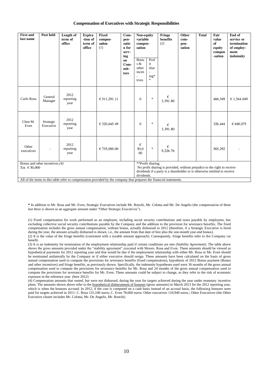#### **Compensation of Executives with Strategic Responsibilities**

| <b>First and</b><br>last name | Post held                      | Length of<br>term of<br>office | <b>Expira</b><br>-tion of<br>term of<br>office | <b>Fixed</b><br>compen-<br>sation<br>(1)                                                                             | Com-<br>pen-<br>satio<br>n for<br>serv-<br>ing<br>on<br>Com-<br>mit-<br>tees | Non-equity<br>variable<br>compen-<br>sation<br>Bonu<br>s $\&$<br>other<br>incen<br>tives | Prof<br>it<br>shar<br>ing*<br>$\ast$ | Fringe<br>benefits<br>(2)                                                                                                                             | Other<br>com-<br>pen-<br>sation | <b>Total</b> | Fair<br>value<br>of<br>equity<br>compen<br>-sation | End of<br>service or<br>termination<br>of employ-<br>ment<br>indemnity |
|-------------------------------|--------------------------------|--------------------------------|------------------------------------------------|----------------------------------------------------------------------------------------------------------------------|------------------------------------------------------------------------------|------------------------------------------------------------------------------------------|--------------------------------------|-------------------------------------------------------------------------------------------------------------------------------------------------------|---------------------------------|--------------|----------------------------------------------------|------------------------------------------------------------------------|
| Carlo Rosa                    | General<br>Manager             | 2012<br>reporting<br>year      |                                                | € 511,291.11                                                                                                         |                                                                              | $\mathbf{0}$                                                                             | $\ast$                               | €<br>3,391.80                                                                                                                                         |                                 |              | 466,349                                            | € 1.544.049                                                            |
| Chen M.<br>Even               | Strategic<br>Executive         | 2012<br>reporting<br>year      |                                                | € 320,645.49                                                                                                         |                                                                              | $\mathbf{0}$                                                                             | $\ast$                               | €<br>3,391.80                                                                                                                                         |                                 |              | 326,444                                            | € 648,075                                                              |
| Other<br>executives           |                                | 2012<br>reporting<br>year      |                                                | € 735,000.00                                                                                                         |                                                                              | €<br>50,0<br>00                                                                          | $\ast$                               | €<br>9,226.76                                                                                                                                         |                                 |              | 565,292                                            |                                                                        |
| Tot. € $50,000$               | Bonus and other incentives (4) |                                |                                                |                                                                                                                      |                                                                              |                                                                                          | **Profit sharing.                    | No profit sharing is provided, without prejudice to the right to receive<br>dividends if a party is a shareholder or is otherwise entitled to receive |                                 |              |                                                    |                                                                        |
|                               |                                |                                |                                                |                                                                                                                      |                                                                              | dividends.                                                                               |                                      |                                                                                                                                                       |                                 |              |                                                    |                                                                        |
|                               |                                |                                |                                                | All of the items in this table refer to compensation provided by the company that prepares the financial statements. |                                                                              |                                                                                          |                                      |                                                                                                                                                       |                                 |              |                                                    |                                                                        |

**\*** In addition to Mr. Rosa and Mr. Even, Strategic Executives include Mr. Ronchi, Mr. Colotta and Mr. De Angelis (the compensation of these last three is shown as an aggregate amount under "Other Strategic Executives").

(1) Fixed compensation for work performed as an employee, including social security contributions and taxes payable by employees, but excluding collective social security contributions payable by the Company and the addition to the provision for severance benefits. The fixed compensation includes the gross annual compensation, without bonus, actually disbursed in 2012 (therefore, if a Strategic Executive is hired during the year, the amount actually disbursed is shown, i.e., the amount from that date of hire plus the one-month year-end bonus).

(2) It is the value of the fringe benefits (consistent with a taxable amount approach). Consequently, fringe benefits refer to the Company car benefit.

(3) It is an indemnity for termination of the employment relationship paid if certain conditions are met *(Stability Agreement)*. The table above shows the gross amounts provided under the "stability agreement" executed with Messrs. Rosa and Even. These amounts should be viewed as hypothetical payments for 2012 reporting year and that would be due if the employment relationship with either Mr. Rosa or Mr. Even should be terminated unilaterally by the Company or if either executive should resign. These amounts have been calculated on the basis of gross annual compensation used to compute the provisions for severance benefits (fixed compensation), hypothesis of 2012 Bonus payment (Bonus and other incentives) and fringe benefits, as previously shown. Specifically, the indemnity hypotheses used were 36 months of the gross annual compensation used to compute the provisions for severance benefits for Mr. Rosa and 24 months of the gross annual compensation used to compute the provisions for severance benefits for Mr. Even. These amounts could be subject to change, as they refer to the risk of economic exposure in the reference year (here 2012)

(4) Compensation amounts that vested, but were not disbursed, during the year for targets achieved during the year under monetary incentive plans. The amounts shown above refer to the hypothetical disbursement of bonuses (gross amounts) in March 2013 for the 2012 reporting year, which is when the bonuses accrued. In 2012, if the cost is computed on a cash basis instead of an accrual basis, the following bonuses were paid for targets achieved in 2011: C. Rosa 131,100 euros; C. Even 78,660 euros; Other executives 110,940 euros.; Other Executives (the Other Executive cluster includes Mr. Colotta, Mr. De Angelis, Mr. Ronchi)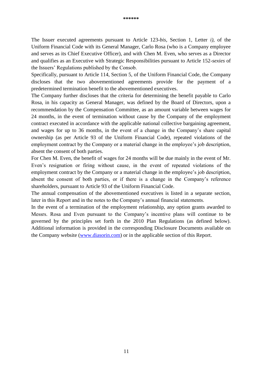The Issuer executed agreements pursuant to Article 123*-bis*, Section 1, Letter *i),* of the Uniform Financial Code with its General Manager, Carlo Rosa (who is a Company employee and serves as its Chief Executive Officer), and with Chen M. Even, who serves as a Director and qualifies as an Executive with Strategic Responsibilities pursuant to Article 152-*sexies* of the Issuers' Regulations published by the Consob.

Specifically, pursuant to Article 114, Section 5, of the Uniform Financial Code, the Company discloses that the two abovementioned agreements provide for the payment of a predetermined termination benefit to the abovementioned executives.

The Company further discloses that the criteria for determining the benefit payable to Carlo Rosa, in his capacity as General Manager, was defined by the Board of Directors, upon a recommendation by the Compensation Committee, as an amount variable between wages for 24 months, in the event of termination without cause by the Company of the employment contract executed in accordance with the applicable national collective bargaining agreement, and wages for up to 36 months, in the event of a change in the Company's share capital ownership (as per Article 93 of the Uniform Financial Code), repeated violations of the employment contract by the Company or a material change in the employee's job description, absent the consent of both parties.

For Chen M. Even, the benefit of wages for 24 months will be due mainly in the event of Mr. Even's resignation or firing without cause, in the event of repeated violations of the employment contract by the Company or a material change in the employee's job description, absent the consent of both parties, or if there is a change in the Company's reference shareholders, pursuant to Article 93 of the Uniform Financial Code.

The annual compensation of the abovementioned executives is listed in a separate section, later in this Report and in the notes to the Company's annual financial statements.

In the event of a termination of the employment relationship, any option grants awarded to Messrs. Rosa and Even pursuant to the Company's incentive plans will continue to be governed by the principles set forth in the 2010 Plan Regulations (as defined below). Additional information is provided in the corresponding Disclosure Documents available on the Company website [\(www.diasorin.com\)](http://www.diasorin.com/) or in the applicable section of this Report.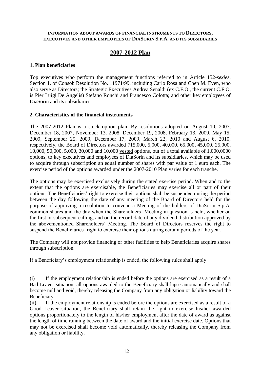#### **INFORMATION ABOUT AWARDS OF FINANCIAL INSTRUMENTS TO DIRECTORS, EXECUTIVES AND OTHER EMPLOYEES OF DIASORIN S.P.A. AND ITS SUBSIDIARIES**

# **2007-2012 Plan**

#### **1. Plan beneficiaries**

Top executives who perform the management functions referred to in Article 152-*sexies*, Section 1, of Consob Resolution No. 11971/99, including Carlo Rosa and Chen M. Even, who also serve as Directors; the Strategic Executives Andrea Senaldi (ex C.F.O., the current C.F.O. is Pier Luigi De Angelis) Stefano Ronchi and Francesco Colotta; and other key employees of DiaSorin and its subsidiaries.

#### **2. Characteristics of the financial instruments**

The 2007-2012 Plan is a stock option plan. By resolutions adopted on August 10, 2007, December 18, 2007, November 13, 2008, December 19, 2008, February 13, 2009, May 15, 2009, September 25, 2009, December 17, 2009, March 22, 2010 and August 6, 2010, respectively, the Board of Directors awarded 715,000, 5,000, 40,000, 65,000, 45,000, 25,000, 10,000, 50,000, 5,000, 30,000 and 10,000 vested options, out of a total available of 1,000,0000 options, to key executives and employees of DiaSorin and its subsidiaries, which may be used to acquire through subscription an equal number of shares with par value of 1 euro each. The exercise period of the options awarded under the 2007-2010 Plan varies for each tranche.

The options may be exercised exclusively during the stated exercise period. When and to the extent that the options are exercisable, the Beneficiaries may exercise all or part of their options. The Beneficiaries' right to exercise their options shall be suspended during the period between the day following the date of any meeting of the Board of Directors held for the purpose of approving a resolution to convene a Meeting of the holders of DiaSorin S.p.A. common shares and the day when the Shareholders' Meeting in question is held, whether on the first or subsequent calling, and on the record date of any dividend distribution approved by the abovementioned Shareholders' Meeting. The Board of Directors reserves the right to suspend the Beneficiaries' right to exercise their options during certain periods of the year.

The Company will not provide financing or other facilities to help Beneficiaries acquire shares through subscription.

If a Beneficiary's employment relationship is ended, the following rules shall apply:

(i) If the employment relationship is ended before the options are exercised as a result of a Bad Leaver situation, all options awarded to the Beneficiary shall lapse automatically and shall become null and void, thereby releasing the Company from any obligation or liability toward the Beneficiary;

(ii) If the employment relationship is ended before the options are exercised as a result of a Good Leaver situation, the Beneficiary shall retain the right to exercise his/her awarded options proportionately to the length of his/her employment after the date of award as against the length of time running between the date of award and the initial exercise date. Options that may not be exercised shall become void automatically, thereby releasing the Company from any obligation or liability.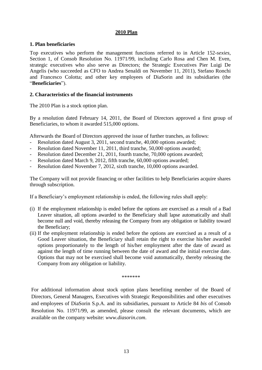#### **2010 Plan**

#### **1. Plan beneficiaries**

Top executives who perform the management functions referred to in Article 152-*sexies*, Section 1, of Consob Resolution No. 11971/99, including Carlo Rosa and Chen M. Even, strategic executives who also serve as Directors; the Strategic Executives Pier Luigi De Angelis (who succeeded as CFO to Andrea Senaldi on November 11, 2011), Stefano Ronchi and Francesco Colotta; and other key employees of DiaSorin and its subsidiaries (the "**Beneficiaries**").

### **2. Characteristics of the financial instruments**

The 2010 Plan is a stock option plan.

By a resolution dated February 14, 2011, the Board of Directors approved a first group of Beneficiaries, to whom it awarded 515,000 options.

Afterwards the Board of Directors approved the issue of further tranches, as follows:

- Resolution dated August 3, 2011, second tranche, 40,000 options awarded;
- Resolution dated November 11, 2011, third tranche, 50,000 options awarded;
- Resolution dated December 21, 2011, fourth tranche, 70,000 options awarded;
- Resolution dated March 9, 2012, fifth tranche, 60,000 options awarded;
- Resolution dated November 7, 2012, sixth tranche, 10,000 options awarded.

The Company will not provide financing or other facilities to help Beneficiaries acquire shares through subscription.

If a Beneficiary's employment relationship is ended, the following rules shall apply:

- (i) If the employment relationship is ended before the options are exercised as a result of a Bad Leaver situation, all options awarded to the Beneficiary shall lapse automatically and shall become null and void, thereby releasing the Company from any obligation or liability toward the Beneficiary;
- (ii) If the employment relationship is ended before the options are exercised as a result of a Good Leaver situation, the Beneficiary shall retain the right to exercise his/her awarded options proportionately to the length of his/her employment after the date of award as against the length of time running between the date of award and the initial exercise date. Options that may not be exercised shall become void automatically, thereby releasing the Company from any obligation or liability.

\*\*\*\*\*\*\*

For additional information about stock option plans benefiting member of the Board of Directors, General Managers, Executives with Strategic Responsibilities and other executives and employees of DiaSorin S.p.A. and its subsidiaries, pursuant to Article 84 *bis* of Consob Resolution No. 11971/99, as amended, please consult the relevant documents, which are available on the company website: *[www.diasorin.com](file:///C:/Documenti/Downloads/www.diasorin.com)*.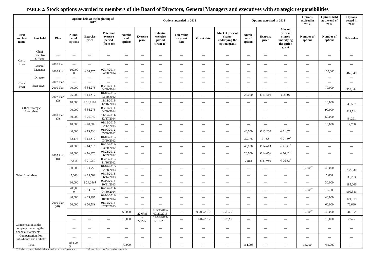|                                             |                                                                       |                                          |                                    | Options held at the beginning of<br>2012 |                                                         |                                  | Options exercised in 2012<br>Options awarded in 2012 |                                                     |                                |                      |                                                             |                                          | <b>Options</b><br>expired in<br>2012 | <b>Options</b> held<br>at the end of<br>2012                      | <b>Options</b><br>vested in<br>2012 |                                          |                                 |
|---------------------------------------------|-----------------------------------------------------------------------|------------------------------------------|------------------------------------|------------------------------------------|---------------------------------------------------------|----------------------------------|------------------------------------------------------|-----------------------------------------------------|--------------------------------|----------------------|-------------------------------------------------------------|------------------------------------------|--------------------------------------|-------------------------------------------------------------------|-------------------------------------|------------------------------------------|---------------------------------|
| First<br>and last<br>name                   | Post held                                                             | Plan                                     | Numb-<br>er of<br>options          | <b>Exercise</b><br>price                 | <b>Potential</b><br>exercise<br>period<br>(from-to)     | <b>Numbe</b><br>r of<br>options  | <b>Exercise</b><br>price                             | <b>Potential</b><br>exercise<br>period<br>(from-to) | Fair value<br>on grant<br>date | <b>Grant date</b>    | Market price of<br>shares<br>underlying the<br>option grant | Numb-<br>er of<br>options                | <b>Exercise</b><br>price             | Market<br>price of<br>shares<br>underlying<br>the option<br>grant | Number of<br>options                | Number of<br>options                     | <b>Fair value</b>               |
| Carlo                                       | Chief<br>Executive<br>Officer                                         | $\hspace{0.05cm} \ldots \hspace{0.05cm}$ | $\hspace{0.05cm} \ldots$           | $\cdots$                                 | $\hspace{0.05cm} \ldots$                                | $\cdots$                         | $\cdots$                                             | $\cdots$                                            | $\overline{a}$                 | $\hspace{0.05cm}---$ | $--$                                                        | $\scriptstyle\cdots$                     | $\cdots$                             | $\hspace{0.05cm} \ldots$                                          | $\hspace{0.05cm} \ldots$            | $\hspace{0.05cm} \ldots \hspace{0.05cm}$ | $\cdots$                        |
| Rosa                                        | General                                                               | 2007 Plan                                | $\hspace{0.05cm} \ldots$           | $\overline{\phantom{a}}$                 | $\cdots$                                                | $\cdots$                         | $\cdots$                                             | $\sim$ $\sim$ $\sim$                                | $\cdots$                       | $\cdots$             | $\cdots$                                                    | $\sim$ $\sim$                            | $\cdots$                             | $\hspace{0.05cm} \ldots$                                          | ---                                 | $\hspace{0.05cm} \ldots \hspace{0.05cm}$ | $\overline{\phantom{a}}$        |
|                                             | Manager                                                               | 2010 Plan                                | 100,00<br>$\overline{0}$           | € 34,275                                 | 02/17/2014-<br>04/30/2014                               | $\cdots$                         | $\cdots$                                             | $\cdots$                                            | ---                            | $\cdots$             | $\scriptstyle\cdots$                                        | $\scriptstyle\cdots$                     | ---                                  | $\hspace{0.05cm} \ldots$                                          | ---                                 | 100,000                                  | 466,349                         |
|                                             | Director                                                              | $\ldots$                                 | $\ldots$                           | $\scriptstyle\cdots$                     | $\scriptstyle\cdots$                                    | $\ldots$                         | $\hspace{0.05cm} \ldots$                             | $\cdots$                                            | $\cdots$                       | $\cdots$             | $\scriptstyle\cdots$                                        | $\sim$ $\sim$                            | $\cdots$                             | $\scriptstyle\cdots$                                              | $\hspace{0.05cm} \ldots$            | $\hspace{0.05cm} \ldots$                 | $\sim$ $\sim$ $\sim$            |
| Chen<br>Even                                | Executive                                                             | 2007 Plan<br>2010 Plan                   | $\hspace{0.05cm} \ldots$<br>70,000 | $\overline{\phantom{a}}$<br>€ 34,275     | $\hspace{0.05cm} \ldots$ .<br>02/17/2014-<br>04/30/2014 | $\cdots$<br>$\scriptstyle\cdots$ | $\ldots$<br>$\cdots$                                 | $\cdots$<br>$\sim$ $\sim$ $\sim$                    | $\cdots$<br>---                | $\cdots$<br>$\cdots$ | $\cdots$<br>$\scriptstyle\cdots$                            | $\cdots$<br>$\hspace{0.05cm} \cdots$     | $\cdots$<br>---                      | $\hspace{0.05cm} \cdots$<br>$\hspace{0.05cm} \ldots$              | $\hspace{0.05cm} \ldots$<br>---     | $\hspace{0.05cm} \ldots$<br>70,000       | $\scriptstyle\cdots$<br>326,444 |
|                                             |                                                                       | 2007 Plan                                | 25,000                             | € 13,519                                 | 01/09/2012-<br>03/20/2012                               | $\cdots$                         | $\cdots$                                             | $\hspace{0.05cm} \cdots$                            | ---                            | $\cdots$             | $\qquad \qquad - \qquad -$                                  | 25,000                                   | € 13,519                             | € 20,07                                                           | ---                                 | $\hspace{0.05cm} \cdots$                 | $\cdots$                        |
|                                             |                                                                       | (2)                                      | 10,000                             | € 30,1165                                | 11/11/2013-<br>12/16/2013                               | $\cdots$                         | $\cdots$                                             | $\overline{\phantom{a}}$                            | ---                            | $\cdots$             | $\cdots$                                                    | $\cdots$                                 | ---                                  | $\hspace{0.05cm} \ldots$                                          | ---                                 | 10,000                                   | 48,507                          |
|                                             | Other Strategic<br>Executives                                         |                                          | 90,000                             | € 34,275                                 | 02/17/2014-<br>04/30/2014                               | $\cdots$                         | $\cdots$                                             | $\cdots$                                            | ---                            | $\cdots$             | $\scriptstyle\cdots$                                        | $\scriptstyle\cdots$                     | ---                                  | $\hspace{0.05cm} \ldots$                                          | ---                                 | 90,000                                   | 419,714                         |
|                                             |                                                                       | 2010 Plan<br>(3)                         | 50,000                             | € 25,042                                 | 11/17/2014-<br>12/17/2014                               | $\scriptstyle\cdots$             | $\cdots$                                             | $\overline{\phantom{a}}$                            | ---                            | $\cdots$             | $\overline{\phantom{a}}$                                    | $\scriptstyle\cdots$                     | ---                                  | $\hspace{0.05cm} \ldots$                                          | ---                                 | 50,000                                   | 84,291                          |
|                                             |                                                                       |                                          | 10,000                             | € 20,588                                 | 01/12/2015-<br>02/12/2015                               | $\scriptstyle\cdots$             | $\hspace{0.05cm} \ldots$                             | $\cdots$                                            | $\hspace{0.05cm} \ldots$       | $\cdots$             | $\sim$ $\sim$                                               | $\hspace{0.05cm} \ldots \hspace{0.05cm}$ | $\hspace{0.05cm} \ldots$             | $\hspace{0.05cm} \ldots$                                          | $\overline{\phantom{a}}$            | 10,000                                   | 12,780                          |
|                                             |                                                                       |                                          | 40,000                             | € 13,230                                 | 01/09/2012-<br>03/30/2012                               | $\cdots$                         | $\cdots$                                             | $\sim$ $\sim$ $\sim$                                | ---                            | $\cdots$             | $\sim$ $\sim$                                               | 40,000                                   | € 13,230                             | $€ 21,67$ <sup>*</sup>                                            | $\overline{\phantom{a}}$            | $\hspace{0.05cm} \ldots \hspace{0.05cm}$ | $\scriptstyle\cdots$            |
|                                             |                                                                       |                                          | 32,175                             | € 13,519                                 | 01/09/2012-<br>03/20/2012                               | $\scriptstyle\cdots$             | $\cdots$                                             | $\cdots$                                            | $\cdots$                       | $\cdots$             | $\sim$ $\sim$                                               | 32,175                                   | €13,5                                | € 21,59 <sup>*</sup>                                              | ---                                 | $\hspace{0.05cm} \ldots$                 | $\sim$ $\sim$                   |
|                                             |                                                                       |                                          | 40,000                             | € 14,613                                 | 02/13/2012-<br>03/20/2012                               | $\scriptstyle\cdots$             | $\cdots$                                             | $\cdots$                                            | $\cdots$                       | $\cdots$             | $\scriptstyle\cdots$                                        | 40,000                                   | € 14,613                             | $€ 21,71$ <sup>*</sup>                                            | $\overline{\phantom{a}}$            | $\hspace{0.05cm} \cdots$                 | $\cdots$                        |
|                                             |                                                                       | 2007 Plan                                | 20,000                             | € 16,476                                 | 05/21/2012-<br>06/29/2012                               | $\scriptstyle\cdots$             | $\cdots$                                             | $\cdots$                                            | ---                            | $\cdots$             | $\scriptstyle\cdots$                                        | 20,000                                   | € 16,476                             | $€ 20,02^*$                                                       | $\hspace{0.05cm} \ldots$            | $\hspace{0.05cm} \ldots \hspace{0.05cm}$ | $\scriptstyle\cdots$            |
|                                             |                                                                       | (8)                                      | 7,818                              | € 21,950                                 | 09/26/2012-<br>11/16/2012                               | $\scriptstyle\cdots$             | $\cdots$                                             | $\sim$ $\sim$ $\sim$                                | $\cdots$                       | $\hspace{0.05cm}---$ | $\scriptstyle\cdots$                                        | 7,818                                    | € 21,950                             | $€ 26,52^*$                                                       | $\overline{\phantom{a}}$            | $--$                                     | $\cdots$                        |
|                                             |                                                                       |                                          | 50,000                             | € 23,950                                 | 01/07/2013-<br>02/28/2013                               | $\ldots$                         | $\cdots$                                             | $\sim$ $\sim$ $\sim$                                | $\cdots$                       | $\cdots$             | $\cdots$                                                    | $\sim$ $\sim$                            | $\cdots$                             | $\hspace{0.05cm} \ldots$                                          | $10,000$ <sup>**</sup>              | 40,000                                   | 232,330                         |
| Other Executives                            |                                                                       |                                          | 5,000                              | € 25,504                                 | 05/16/2013-<br>06/14/2013                               | $\cdots$                         | $\overline{a}$                                       | $\hspace{0.05cm} \cdots$                            | ---                            | $\cdots$             | $\cdots$                                                    | $\scriptstyle\cdots$                     | ---                                  | $\hspace{0.05cm} \ldots$                                          | $\hspace{0.05cm} \ldots$            | 5,000                                    | 30,253                          |
|                                             |                                                                       |                                          | 30,000                             | € 29,5465                                | 09/09/2013-<br>10/31/2013                               | $\scriptstyle\cdots$             | $\cdots$                                             | $\hspace{0.05cm} \cdots$                            | ---                            | $\cdots$             | $\scriptstyle\cdots$                                        | $\hspace{0.05cm} \cdots$                 | ---                                  | $\hspace{0.05cm} \ldots$                                          | $\hspace{0.05cm} \ldots$            | 30,000                                   | 185,006                         |
|                                             |                                                                       |                                          | 205,00<br>$\overline{0}$           | € 34,275                                 | 02/17/2014-<br>04/30/2014                               | $\cdots$                         | $\cdots$                                             | $\hspace{0.05cm} \cdots$                            | ---                            | $\cdots$             | $\scriptstyle\cdots$                                        | $\hspace{0.05cm} \cdots$                 | ---                                  | $\hspace{0.05cm} \ldots$                                          | $10,000$ <sup>**</sup>              | 195,000                                  | 909,381                         |
|                                             |                                                                       |                                          | 40,000                             | € 33,493                                 | 09/08/2014-<br>10/30/2014                               | $\cdots$                         | $\overline{a}$                                       | $\overline{a}$                                      | ---                            | $\cdots$             | $\cdots$                                                    | $\scriptstyle\cdots$                     | ---                                  | ---                                                               | $\hspace{0.05cm} \ldots$            | 40,000                                   | 121,919                         |
|                                             |                                                                       | 2010 Plan<br>(20)                        | 60,000                             | € 20,588                                 | 01/12/2015-<br>02/12/2015                               | $\cdots$                         | ---                                                  | $\sim$ $\sim$ $\sim$                                | ---                            | ---                  | $\overline{\phantom{a}}$                                    | $\scriptstyle\cdots$                     | ---                                  | $\hspace{0.05cm} \ldots$                                          | ---                                 | 60,000                                   | 76,680                          |
|                                             |                                                                       |                                          | $\sim$ $\sim$ $\sim$               | $   \,$                                  | $\cdots$                                                | 60,000                           | €<br>22,6786                                         | 06/29/2015-<br>07/29/2015                           | $\cdots$                       | 03/09/2012           | € 20,20                                                     | $\cdots$ .                               | $\hspace{0.05cm} \ldots$             | $\cdots$                                                          | $15{,}000^{\ast\ast}$               | 45,000                                   | 41,122                          |
|                                             |                                                                       |                                          | $\cdots$ .                         | $\cdots$                                 | $\sim$                                                  | 10,000                           | €<br>27,2259                                         | 11/16/2015-<br>12/16/2015                           | $\hspace{0.05cm} \cdots$       | 11/07/2012           | € 25,67                                                     | $\hspace{0.05cm} \ldots \hspace{0.05cm}$ | $\hspace{0.05cm} \ldots$             | $\scriptstyle\cdots$                                              | $\hspace{0.05cm} \ldots$            | 10,000                                   | 2,525                           |
| Compensation at the<br>financial statements | company preparing the                                                 |                                          | $\cdots$                           | $\overline{\phantom{a}}$                 | $\cdots$                                                | $\cdots$                         | $\cdots$                                             | $\cdots$                                            | ---                            | $\cdots$             | $\scriptstyle\cdots$                                        | $\scriptstyle\cdots$                     | ---                                  | $\hspace{0.05cm} \ldots$                                          | $\overline{\phantom{a}}$            | $\hspace{0.05cm}---$                     | $\scriptstyle\cdots$            |
|                                             | Compensation from<br>subsidiaries and affiliates                      |                                          | $\hspace{0.05cm} \ldots$           | $\overline{\phantom{a}}$                 | $\cdots$                                                | $\cdots$                         | $\cdots$                                             | $\cdots$                                            | $\hspace{0.05cm} \cdots$       | ---                  | $\scriptstyle\cdots$                                        | $\cdots$                                 | ---                                  | $\hspace{0.05cm} \ldots$                                          | $\cdots$                            | $\hspace{0.05cm} \cdots$                 | $\scriptstyle\cdots$            |
|                                             | Total                                                                 |                                          | 884,99                             | ---                                      | $---$                                                   | 70,000                           | $\cdots$                                             | $\sim$ $\sim$ $\sim$                                | ---                            | $\cdots$             | $\scriptstyle\cdots$                                        | 164,993                                  | ---                                  | $\hspace{0.05cm} \ldots$                                          | 35,000                              | 755,000                                  | $\scriptstyle\cdots$            |
|                                             | * Weighted average of official close of options in the reference year |                                          |                                    |                                          | **Options lapsed for Bad Leaving hypothesis             |                                  |                                                      |                                                     |                                |                      |                                                             |                                          |                                      |                                                                   |                                     |                                          |                                 |

# **TABLE 2: Stock options awarded to members of the Board of Directors, General Managers and executives with strategic responsibilities**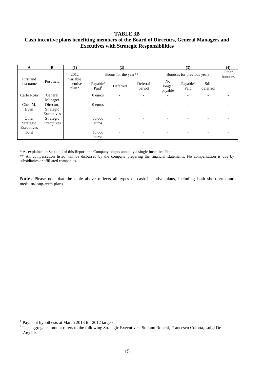#### **TABLE 3B**

## **Cash incentive plans benefiting members of the Board of Directors, General Managers and Executives with Strategic Responsibilities**

| A          | B          | (1)                  |                               | (2)                      |                          |                                     | (3)                        |                          | (4) |  |
|------------|------------|----------------------|-------------------------------|--------------------------|--------------------------|-------------------------------------|----------------------------|--------------------------|-----|--|
| First and  |            | 2012<br>variable     |                               | Bonus for the year**     |                          |                                     | Bonuses for previous years |                          |     |  |
| last name  | Post held  | incentive<br>$plan*$ | Payable/<br>Paid <sup>1</sup> | Deferred                 | Deferral<br>period       | N <sub>o</sub><br>longer<br>payable | Payable/<br>Paid           | Still<br>deferred        |     |  |
| Carlo Rosa | General    |                      | $0$ euros                     | $\overline{\phantom{0}}$ | $\overline{\phantom{a}}$ |                                     |                            | $\overline{\phantom{0}}$ |     |  |
|            | Manager    |                      |                               |                          |                          |                                     |                            |                          |     |  |
| Chen M.    | Director,  |                      | $0$ euros                     | $\overline{\phantom{a}}$ | $\overline{\phantom{a}}$ | $\overline{\phantom{0}}$            | $\overline{\phantom{0}}$   | $\overline{\phantom{a}}$ |     |  |
| Even       | Strategic  |                      |                               |                          |                          |                                     |                            |                          |     |  |
|            | Executives |                      |                               |                          |                          |                                     |                            |                          |     |  |
| Other      | Strategic  |                      | 50,000                        | $\overline{\phantom{a}}$ | $\overline{\phantom{0}}$ |                                     |                            | $\overline{\phantom{0}}$ |     |  |
| Strategic  | Executives |                      | euros                         |                          |                          |                                     |                            |                          |     |  |
| Executives |            |                      |                               |                          |                          |                                     |                            |                          |     |  |
| Total      |            |                      | 50,000                        | $\overline{\phantom{a}}$ | $\overline{\phantom{a}}$ |                                     | -                          | $\overline{\phantom{a}}$ |     |  |
|            |            |                      | euros                         |                          |                          |                                     |                            |                          |     |  |

\* As explained in Section I of this Report, the Company adopts annually a single Incentive Plan.

\*\* All compensation listed will be disbursed by the company preparing the financial statements. No compensation is due by subsidiaries or affiliated companies.

**Note:** Please note that the table above reflects all types of cash incentive plans, including both short-term and medium/long-term plans.

<sup>&</sup>lt;sup>1</sup> Payment hypothesis at March 2013 for 2012 targets.

<sup>&</sup>lt;sup>2</sup> The aggregate amount refers to the following Strategic Executives: Stefano Ronchi, Francesco Colotta, Luigi De Angelis.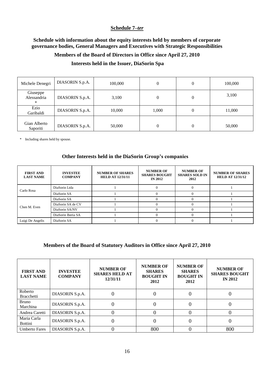### **Schedule 7–***ter*

## **Schedule with information about the equity interests held by members of corporate governance bodies, General Managers and Executives with Strategic Responsibilities**

#### **Members of the Board of Directors in Office since April 27, 2010**

### **Interests held in the Issuer, DiaSorin Spa**

| Michele Denegri              | DIASORIN S.p.A. | 100,000 | $\boldsymbol{0}$ | 0        | 100,000 |
|------------------------------|-----------------|---------|------------------|----------|---------|
| Giuseppe<br>Alessandria<br>* | DIASORIN S.p.A. | 3,100   | $\boldsymbol{0}$ | 0        | 3,100   |
| Ezio<br>Garibaldi            | DIASORIN S.p.A. | 10,000  | 1,000            | $\theta$ | 11,000  |
| Gian Alberto<br>Saporiti     | DIASORIN S.p.A. | 50,000  | $\overline{0}$   | 0        | 50,000  |

\* Including shares held by spouse.

#### **Other Interests held in the DiaSorin Group's companies**

| <b>FIRST AND</b><br><b>LAST NAME</b> | <b>INVESTEE</b><br><b>COMPANY</b> | <b>NUMBER OF SHARES</b><br><b>HELD AT 12/31/11</b> | <b>NUMBER OF</b><br><b>SHARES BOUGHT</b><br><b>IN 2012</b> | <b>NUMBER OF</b><br><b>SHARES SOLD IN</b><br>2012 | <b>NUMBER OF SHARES</b><br><b>HELD AT 12/31/12</b> |
|--------------------------------------|-----------------------------------|----------------------------------------------------|------------------------------------------------------------|---------------------------------------------------|----------------------------------------------------|
| Carlo Rosa                           | DiaSorin Ltda                     |                                                    |                                                            |                                                   |                                                    |
|                                      | DiaSorin SA                       |                                                    |                                                            |                                                   |                                                    |
|                                      | DiaSorin SA                       |                                                    |                                                            |                                                   |                                                    |
| Chen M. Even                         | DiaSorin SA de CV                 |                                                    |                                                            |                                                   |                                                    |
|                                      | DiaSorin SA/NV                    |                                                    |                                                            |                                                   |                                                    |
|                                      | DiaSorin Iberia SA                |                                                    |                                                            |                                                   |                                                    |
| Luigi De Angelis                     | DiaSorin SA                       |                                                    |                                                            |                                                   |                                                    |

#### **Members of the Board of Statutory Auditors in Office since April 27, 2010**

| <b>FIRST AND</b><br><b>LAST NAME</b> | <b>INVESTEE</b><br><b>COMPANY</b> | <b>NUMBER OF</b><br><b>SHARES HELD AT</b><br>12/31/11 | <b>NUMBER OF</b><br><b>SHARES</b><br><b>BOUGHT IN</b><br>2012 | <b>NUMBER OF</b><br><b>SHARES</b><br><b>BOUGHT IN</b><br>2012 | <b>NUMBER OF</b><br><b>SHARES BOUGHT</b><br><b>IN 2012</b> |
|--------------------------------------|-----------------------------------|-------------------------------------------------------|---------------------------------------------------------------|---------------------------------------------------------------|------------------------------------------------------------|
| Roberto<br><b>Bracchetti</b>         | DIASORIN S.p.A.                   |                                                       |                                                               |                                                               |                                                            |
| <b>Bruno</b><br>Marchina             | DIASORIN S.p.A.                   | O                                                     |                                                               |                                                               |                                                            |
| Andrea Caretti                       | DIASORIN S.p.A.                   |                                                       |                                                               |                                                               |                                                            |
| Maria Carla<br><b>Bottini</b>        | DIASORIN S.p.A.                   | O                                                     |                                                               |                                                               |                                                            |
| <b>Umberto Fares</b>                 | DIASORIN S.p.A.                   |                                                       | 800                                                           |                                                               | 800                                                        |